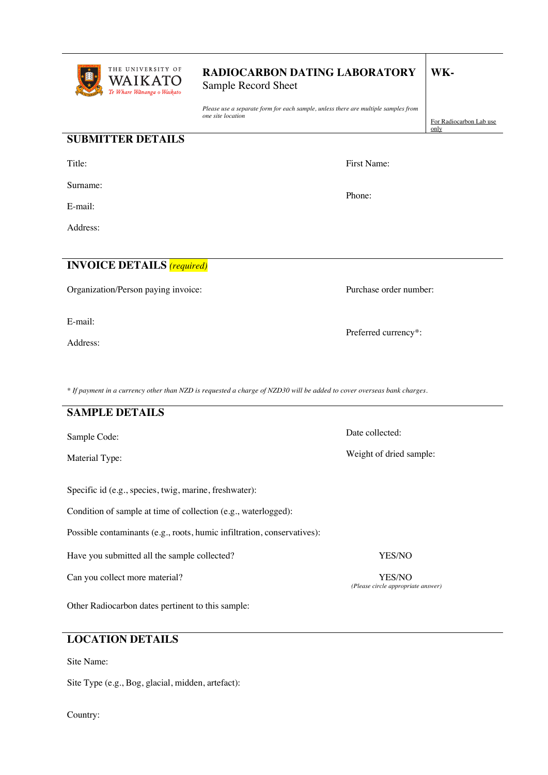

# **RADIOCARBON DATING LABORATORY**

Sample Record Sheet

*Please use a separate form for each sample, unless there are multiple samples from one site location*

**SUBMITTER DETAILS**

Title:

Surname:

E-mail:

Address:

**INVOICE DETAILS** *(required)*

Organization/Person paying invoice:

E-mail:

Address:

First Name:

**WK-**

only

For Radiocarbon Lab use

Phone:

Purchase order number:

Preferred currency\*:

Date collected:

Weight of dried sample:

*(Please circle appropriate answer)*

*\* If payment in a currency other than NZD is requested a charge of NZD30 will be added to cover overseas bank charges.*

### **SAMPLE DETAILS**

Sample Code:

Material Type:

Specific id (e.g., species, twig, marine, freshwater):

Condition of sample at time of collection (e.g., waterlogged):

Possible contaminants (e.g., roots, humic infiltration, conservatives):

Have you submitted all the sample collected? YES/NO

Can you collect more material? YES/NO

Other Radiocarbon dates pertinent to this sample:

### **LOCATION DETAILS**

Site Name:

Site Type (e.g., Bog, glacial, midden, artefact):

Country: